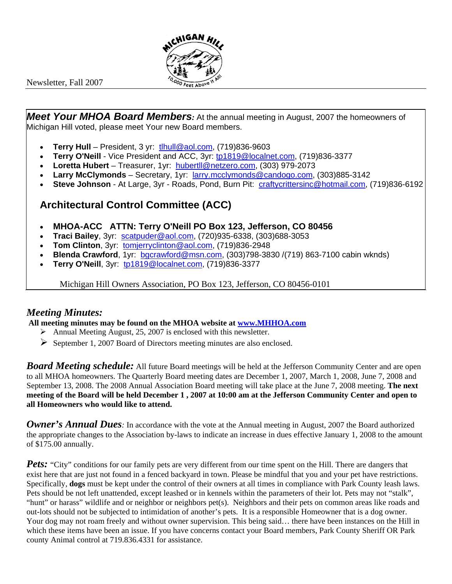

Newsletter, Fall 2007

*Meet Your MHOA Board Members:* At the annual meeting in August, 2007 the homeowners of Michigan Hill voted, please meet Your new Board members.

- **Terry Hull** President, 3 yr: tlhull@aol.com, (719)836-9603
- **Terry O'Neill** Vice President and ACC, 3yr: tp1819@localnet.com, (719)836-3377
- **Loretta Hubert** Treasurer, 1yr: hubertll@netzero.com, (303) 979-2073
- **Larry McClymonds** Secretary, 1yr: larry.mcclymonds@candogo.com, (303)885-3142
- **Steve Johnson** At Large, 3yr Roads, Pond, Burn Pit: craftycrittersinc@hotmail.com, (719)836-6192

## **Architectural Control Committee (ACC)**

- **MHOA-ACC ATTN: Terry O'Neill PO Box 123, Jefferson, CO 80456**
- **Traci Bailey**, 3yr: scatpuder@aol.com, (720)935-6338, (303)688-3053
- **Tom Clinton**, 3yr: tomjerryclinton@aol.com, (719)836-2948
- **Blenda Crawford**, 1yr: bgcrawford@msn.com, (303)798-3830 /(719) 863-7100 cabin wknds)
- **Terry O'Neill**, 3yr: tp1819@localnet.com, (719)836-3377

Michigan Hill Owners Association, PO Box 123, Jefferson, CO 80456-0101

## *Meeting Minutes:*

 **All meeting minutes may be found on the MHOA website at www.MHHOA.com** 

- $\triangleright$  Annual Meeting August, 25, 2007 is enclosed with this newsletter.
- ¾ September 1, 2007 Board of Directors meeting minutes are also enclosed.

*Board Meeting schedule:* All future Board meetings will be held at the Jefferson Community Center and are open to all MHOA homeowners. The Quarterly Board meeting dates are December 1, 2007, March 1, 2008, June 7, 2008 and September 13, 2008. The 2008 Annual Association Board meeting will take place at the June 7, 2008 meeting. **The next meeting of the Board will be held December 1 , 2007 at 10:00 am at the Jefferson Community Center and open to all Homeowners who would like to attend.**

**Owner's Annual Dues**: In accordance with the vote at the Annual meeting in August, 2007 the Board authorized the appropriate changes to the Association by-laws to indicate an increase in dues effective January 1, 2008 to the amount of \$175.00 annually.

*Pets:* "City" conditions for our family pets are very different from our time spent on the Hill. There are dangers that exist here that are just not found in a fenced backyard in town. Please be mindful that you and your pet have restrictions. Specifically, **dogs** must be kept under the control of their owners at all times in compliance with Park County leash laws. Pets should be not left unattended, except leashed or in kennels within the parameters of their lot. Pets may not "stalk", "hunt" or harass" wildlife and or neighbor or neighbors pet(s). Neighbors and their pets on common areas like roads and out-lots should not be subjected to intimidation of another's pets. It is a responsible Homeowner that is a dog owner. Your dog may not roam freely and without owner supervision. This being said… there have been instances on the Hill in which these items have been an issue. If you have concerns contact your Board members, Park County Sheriff OR Park county Animal control at 719.836.4331 for assistance.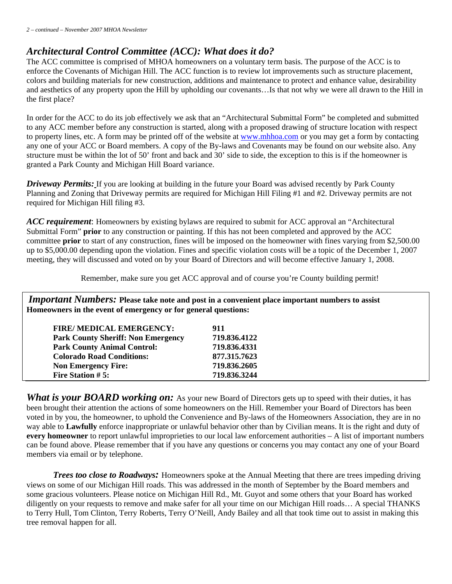## *Architectural Control Committee (ACC): What does it do?*

The ACC committee is comprised of MHOA homeowners on a voluntary term basis. The purpose of the ACC is to enforce the Covenants of Michigan Hill. The ACC function is to review lot improvements such as structure placement, colors and building materials for new construction, additions and maintenance to protect and enhance value, desirability and aesthetics of any property upon the Hill by upholding our covenants…Is that not why we were all drawn to the Hill in the first place?

In order for the ACC to do its job effectively we ask that an "Architectural Submittal Form" be completed and submitted to any ACC member before any construction is started, along with a proposed drawing of structure location with respect to property lines, etc. A form may be printed off of the website at www.mhhoa.com or you may get a form by contacting any one of your ACC or Board members. A copy of the By-laws and Covenants may be found on our website also. Any structure must be within the lot of 50' front and back and 30' side to side, the exception to this is if the homeowner is granted a Park County and Michigan Hill Board variance.

*Driveway Permits:* If you are looking at building in the future your Board was advised recently by Park County Planning and Zoning that Driveway permits are required for Michigan Hill Filing #1 and #2. Driveway permits are not required for Michigan Hill filing #3.

*ACC requirement*: Homeowners by existing bylaws are required to submit for ACC approval an "Architectural Submittal Form" **prior** to any construction or painting. If this has not been completed and approved by the ACC committee **prior** to start of any construction, fines will be imposed on the homeowner with fines varying from \$2,500.00 up to \$5,000.00 depending upon the violation. Fines and specific violation costs will be a topic of the December 1, 2007 meeting, they will discussed and voted on by your Board of Directors and will become effective January 1, 2008.

Remember, make sure you get ACC approval and of course you're County building permit!

*Important Numbers:* **Please take note and post in a convenient place important numbers to assist Homeowners in the event of emergency or for general questions:** 

| FIRE/ MEDICAL EMERGENCY:                  | 911          |
|-------------------------------------------|--------------|
| <b>Park County Sheriff: Non Emergency</b> | 719.836.4122 |
| <b>Park County Animal Control:</b>        | 719.836.4331 |
| <b>Colorado Road Conditions:</b>          | 877.315.7623 |
| <b>Non Emergency Fire:</b>                | 719.836.2605 |
| Fire Station #5:                          | 719.836.3244 |
|                                           |              |

*What is your BOARD working on:* As your new Board of Directors gets up to speed with their duties, it has been brought their attention the actions of some homeowners on the Hill. Remember your Board of Directors has been voted in by you, the homeowner, to uphold the Convenience and By-laws of the Homeowners Association, they are in no way able to **Lawfully** enforce inappropriate or unlawful behavior other than by Civilian means. It is the right and duty of **every homeowner** to report unlawful improprieties to our local law enforcement authorities – A list of important numbers can be found above. Please remember that if you have any questions or concerns you may contact any one of your Board members via email or by telephone.

*Trees too close to Roadways:* Homeowners spoke at the Annual Meeting that there are trees impeding driving views on some of our Michigan Hill roads. This was addressed in the month of September by the Board members and some gracious volunteers. Please notice on Michigan Hill Rd., Mt. Guyot and some others that your Board has worked diligently on your requests to remove and make safer for all your time on our Michigan Hill roads… A special THANKS to Terry Hull, Tom Clinton, Terry Roberts, Terry O'Neill, Andy Bailey and all that took time out to assist in making this tree removal happen for all.